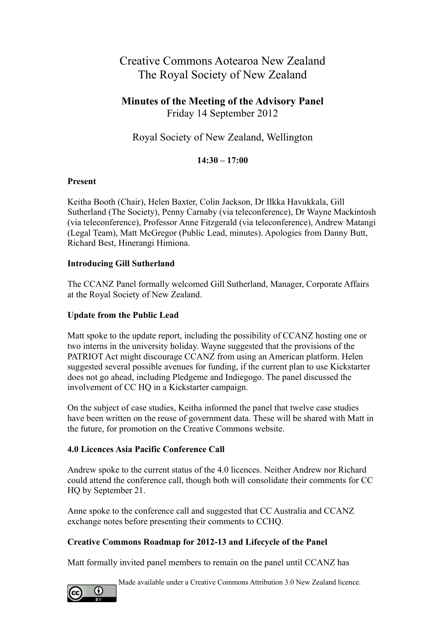# Creative Commons Aotearoa New Zealand The Royal Society of New Zealand

## **Minutes of the Meeting of the Advisory Panel** Friday 14 September 2012

# Royal Society of New Zealand, Wellington

### **14:30 – 17:00**

#### **Present**

Keitha Booth (Chair), Helen Baxter, Colin Jackson, Dr Ilkka Havukkala, Gill Sutherland (The Society), Penny Carnaby (via teleconference), Dr Wayne Mackintosh (via teleconference), Professor Anne Fitzgerald (via teleconference), Andrew Matangi (Legal Team), Matt McGregor (Public Lead, minutes). Apologies from Danny Butt, Richard Best, Hinerangi Himiona.

#### **Introducing Gill Sutherland**

The CCANZ Panel formally welcomed Gill Sutherland, Manager, Corporate Affairs at the Royal Society of New Zealand.

#### **Update from the Public Lead**

Matt spoke to the update report, including the possibility of CCANZ hosting one or two interns in the university holiday. Wayne suggested that the provisions of the PATRIOT Act might discourage CCANZ from using an American platform. Helen suggested several possible avenues for funding, if the current plan to use Kickstarter does not go ahead, including Pledgeme and Indiegogo. The panel discussed the involvement of CC HQ in a Kickstarter campaign.

On the subject of case studies, Keitha informed the panel that twelve case studies have been written on the reuse of government data. These will be shared with Matt in the future, for promotion on the Creative Commons website.

#### **4.0 Licences Asia Pacific Conference Call**

Andrew spoke to the current status of the 4.0 licences. Neither Andrew nor Richard could attend the conference call, though both will consolidate their comments for CC HQ by September 21.

Anne spoke to the conference call and suggested that CC Australia and CCANZ exchange notes before presenting their comments to CCHQ.

#### **Creative Commons Roadmap for 2012-13 and Lifecycle of the Panel**

Matt formally invited panel members to remain on the panel until CCANZ has



Made available under a Creative Commons Attribution 3.0 New Zealand licence.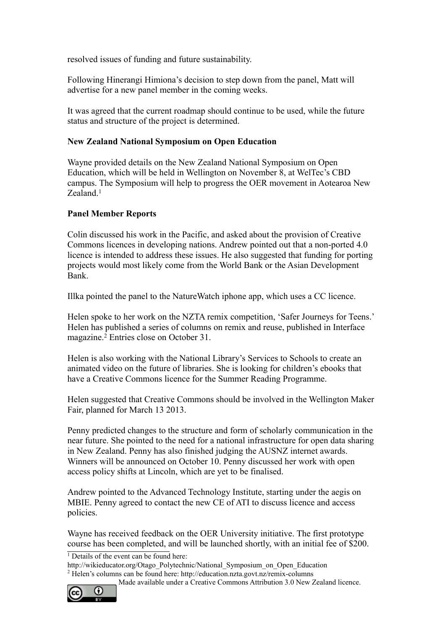resolved issues of funding and future sustainability.

Following Hinerangi Himiona's decision to step down from the panel, Matt will advertise for a new panel member in the coming weeks.

It was agreed that the current roadmap should continue to be used, while the future status and structure of the project is determined.

#### **New Zealand National Symposium on Open Education**

Wayne provided details on the New Zealand National Symposium on Open Education, which will be held in Wellington on November 8, at WelTec's CBD campus. The Symposium will help to progress the OER movement in Aotearoa New Zealand.<sup>[1](#page-1-0)</sup>

#### **Panel Member Reports**

Colin discussed his work in the Pacific, and asked about the provision of Creative Commons licences in developing nations. Andrew pointed out that a non-ported 4.0 licence is intended to address these issues. He also suggested that funding for porting projects would most likely come from the World Bank or the Asian Development Bank.

Illka pointed the panel to the NatureWatch iphone app, which uses a CC licence.

Helen spoke to her work on the NZTA remix competition, 'Safer Journeys for Teens.' Helen has published a series of columns on remix and reuse, published in Interface magazine.<sup>[2](#page-1-1)</sup> Entries close on October 31.

Helen is also working with the National Library's Services to Schools to create an animated video on the future of libraries. She is looking for children's ebooks that have a Creative Commons licence for the Summer Reading Programme.

Helen suggested that Creative Commons should be involved in the Wellington Maker Fair, planned for March 13 2013.

Penny predicted changes to the structure and form of scholarly communication in the near future. She pointed to the need for a national infrastructure for open data sharing in New Zealand. Penny has also finished judging the AUSNZ internet awards. Winners will be announced on October 10. Penny discussed her work with open access policy shifts at Lincoln, which are yet to be finalised.

Andrew pointed to the Advanced Technology Institute, starting under the aegis on MBIE. Penny agreed to contact the new CE of ATI to discuss licence and access policies.

Wayne has received feedback on the OER University initiative. The first prototype course has been completed, and will be launched shortly, with an initial fee of \$200.

Made available under a Creative Commons Attribution 3.0 New Zealand licence.



<span id="page-1-0"></span><sup>&</sup>lt;sup>1</sup> Details of the event can be found here:

<span id="page-1-1"></span>http://wikieducator.org/Otago\_Polytechnic/National\_Symposium\_on\_Open\_Education 2 Helen's columns can be found here: http://education.nzta.govt.nz/remix-columns